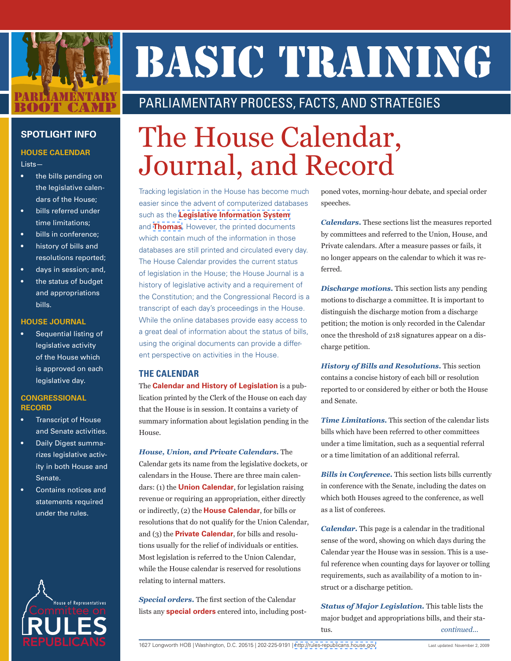

# BASIC TRAINING

# PARLIAMENTARY PROCESS, FACTS, AND STRATEGIES

## **SPOTLIGHT INFO**

## **HOUSE CALENDAR**

#### Lists—

- the bills pending on the legislative calendars of the House;
- bills referred under time limitations;
- • bills in conference;
- history of bills and resolutions reported;
- days in session; and,
- the status of budget and appropriations bills.

#### **HOUSE JOURNAL**

Sequential listing of legislative activity of the House which is approved on each legislative day.

#### **CONGRESSIONAL RECORD**

- **Transcript of House** and Senate activities.
- Daily Digest summarizes legislative activity in both House and Senate.
- Contains notices and statements required under the rules.



# The House Calendar, Journal, and Record

Tracking legislation in the House has become much easier since the advent of computerized databases such as the **[Legislative Information System](http://www.congress.gov)** and **[Thomas](http://thomas.loc.gov)**. However, the printed documents which contain much of the information in those databases are still printed and circulated every day. The House Calendar provides the current status of legislation in the House; the House Journal is a history of legislative activity and a requirement of the Constitution; and the Congressional Record is a transcript of each day's proceedings in the House. While the online databases provide easy access to a great deal of information about the status of bills, using the original documents can provide a different perspective on activities in the House.

# **THE CALENDAR**

The **Calendar and History of Legislation** is a publication printed by the Clerk of the House on each day that the House is in session. It contains a variety of summary information about legislation pending in the House.

*House, Union, and Private Calendars.* The Calendar gets its name from the legislative dockets, or calendars in the House. There are three main calendars: (1) the **Union Calendar**, for legislation raising revenue or requiring an appropriation, either directly or indirectly, (2) the **House Calendar**, for bills or resolutions that do not qualify for the Union Calendar, and (3) the **Private Calendar**, for bills and resolutions usually for the relief of individuals or entities. Most legislation is referred to the Union Calendar, while the House calendar is reserved for resolutions relating to internal matters.

*Special orders.* The first section of the Calendar lists any **special orders** entered into, including postponed votes, morning-hour debate, and special order speeches.

*Calendars.* These sections list the measures reported by committees and referred to the Union, House, and Private calendars. After a measure passes or fails, it no longer appears on the calendar to which it was referred.

*Discharge motions.* This section lists any pending motions to discharge a committee. It is important to distinguish the discharge motion from a discharge petition; the motion is only recorded in the Calendar once the threshold of 218 signatures appear on a discharge petition.

*History of Bills and Resolutions.* This section contains a concise history of each bill or resolution reported to or considered by either or both the House and Senate.

*Time Limitations.* This section of the calendar lists bills which have been referred to other committees under a time limitation, such as a sequential referral or a time limitation of an additional referral.

*Bills in Conference.* This section lists bills currently in conference with the Senate, including the dates on which both Houses agreed to the conference, as well as a list of conferees.

*Calendar.* This page is a calendar in the traditional sense of the word, showing on which days during the Calendar year the House was in session. This is a useful reference when counting days for layover or tolling requirements, such as availability of a motion to instruct or a discharge petition.

*Status of Major Legislation.* This table lists the major budget and appropriations bills, and their status. *continued...*